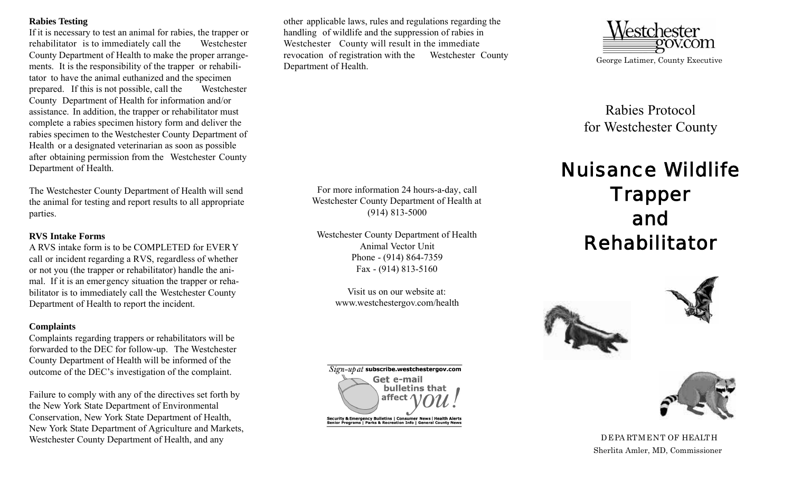### **Rabies Testing**

If it is necessary to test an animal for rabies, the trapper or rehabilitator is to immediately call the Westchester County Department of Health to make the proper arrangements. It is the responsibility of the trapper or rehabilitator to have the animal euthanized and the specimen prepared. If this is not possible, call the Westchester County Department of Health for information and/or assistance. In addition, the trapper or rehabilitator must complete a rabies specimen history form and deliver the rabies specimen to the Westchester County Department of Health or a designated veterinarian as soon as possible after obtaining permission from the Westchester County Department of Health.

The Westchester County Department of Health will send the animal for testing and report results to all appropriate parties.

# **RVS Intake Forms**

A RVS intake form is to be COMPLETED for EVERY call or incident regarding a RVS, regardless of whether or not you (the trapper or rehabilitator) handle the animal. If it is an emergency situation the trapper or rehabilitator is to immediately call the Westchester County Department of Health to report the incident.

# **Complaints**

Complaints regarding trappers or rehabilitators will be forwarded to the DEC for follow-up. The Westchester County Department of Health will be informed of the outcome of the DEC's investigation of the complaint.

Failure to comply with any of the directives set forth by the New York State Department of Environmental Conservation, New York State Department of Health, New York State Department of Agriculture and Markets, Westchester County Department of Health, and any

other applicable laws, rules and regulations regarding the handling of wildlife and the suppression of rabies in Westchester County will result in the immediate revocation of registration with the Westchester County Department of Health.

> For more information 24 hours-a-day, call Westchester County Department of Health at (914) 813-5000

Westchester County Department of Health Animal Vector Unit Phone - (914) 864-7359 Fax - (914) 813-5160

> Visit us on our website at: www.westchestergov.com/health





Rabies Protocol for Westchester County

# Nuisance Wildlife **Trapper** and Rehabilitator







DEPA RTMENT OF HEALTH Sherlita Amler, MD, Commissioner